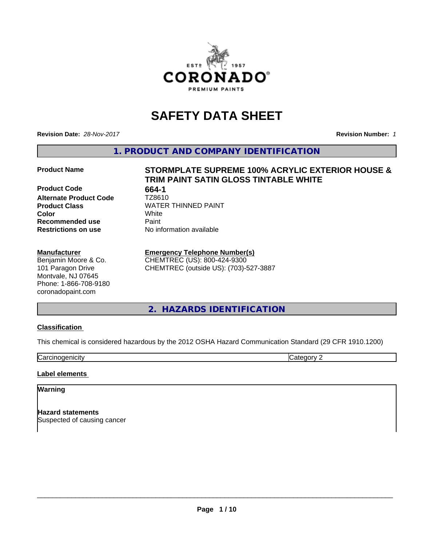

# **SAFETY DATA SHEET**

**Revision Date:** *28-Nov-2017* **Revision Number:** *1*

**1. PRODUCT AND COMPANY IDENTIFICATION**

**Product Code** 664-1<br> **Alternate Product Code** TZ8610 **Alternate Product Code Recommended use Caint Restrictions on use** No information available

#### **Manufacturer**

Benjamin Moore & Co. 101 Paragon Drive Montvale, NJ 07645 Phone: 1-866-708-9180 coronadopaint.com

# **Product Name STORMPLATE SUPREME 100% ACRYLIC EXTERIOR HOUSE & TRIM PAINT SATIN GLOSS TINTABLE WHITE**

**Product Class** WATER THINNED PAINT<br> **Color** White **Color** White

### **Emergency Telephone Number(s)**

CHEMTREC (US): 800-424-9300 CHEMTREC (outside US): (703)-527-3887

**2. HAZARDS IDENTIFICATION**

# **Classification**

This chemical is considered hazardous by the 2012 OSHA Hazard Communication Standard (29 CFR 1910.1200)

**Carcinogenicity** Category 2

#### **Label elements**

#### **Warning**

**Hazard statements** Suspected of causing cancer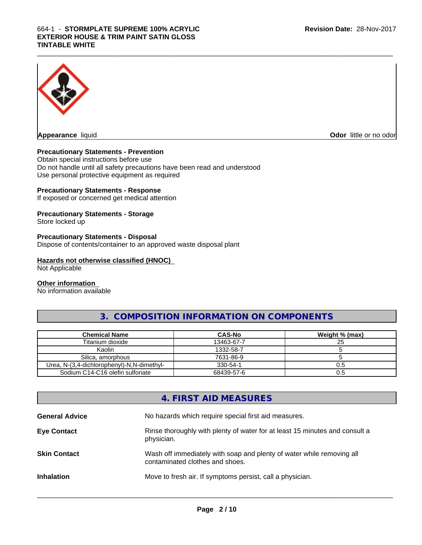

**Appearance** liquid **Contract Contract Contract Contract Contract Contract Contract Contract Contract Contract Contract Contract Contract Contract Contract Contract Contract Contract Contract Contract Contract Contract Con** 

# **Precautionary Statements - Prevention**

Obtain special instructions before use Do not handle until all safety precautions have been read and understood Use personal protective equipment as required

# **Precautionary Statements - Response**

If exposed or concerned get medical attention

# **Precautionary Statements - Storage**

Store locked up

#### **Precautionary Statements - Disposal**

Dispose of contents/container to an approved waste disposal plant

# **Hazards not otherwise classified (HNOC)**

Not Applicable

#### **Other information**

No information available

# **3. COMPOSITION INFORMATION ON COMPONENTS**

| <b>Chemical Name</b>                       | <b>CAS-No</b> | Weight % (max) |
|--------------------------------------------|---------------|----------------|
| Titanium dioxide                           | 13463-67-7    | 25             |
| Kaolin                                     | 1332-58-7     |                |
| Silica, amorphous                          | 7631-86-9     |                |
| Urea, N-(3,4-dichlorophenyl)-N,N-dimethyl- | 330-54-1      | U.O            |
| Sodium C14-C16 olefin sulfonate            | 68439-57-6    |                |

# **4. FIRST AID MEASURES**

| <b>General Advice</b> | No hazards which require special first aid measures.                                                     |
|-----------------------|----------------------------------------------------------------------------------------------------------|
| <b>Eye Contact</b>    | Rinse thoroughly with plenty of water for at least 15 minutes and consult a<br>physician.                |
| <b>Skin Contact</b>   | Wash off immediately with soap and plenty of water while removing all<br>contaminated clothes and shoes. |
| <b>Inhalation</b>     | Move to fresh air. If symptoms persist, call a physician.                                                |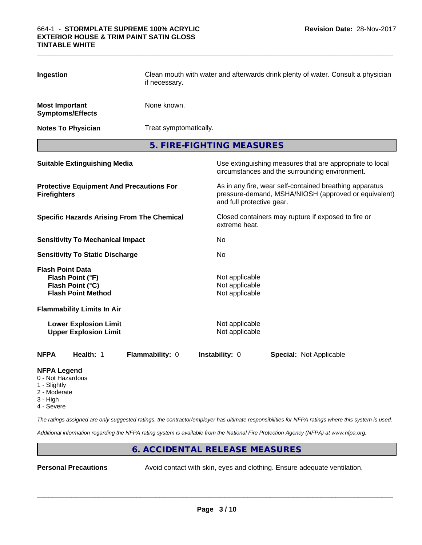| Ingestion                                                                                    | Clean mouth with water and afterwards drink plenty of water. Consult a physician<br>if necessary. |                                                    |                                                                                                                 |  |
|----------------------------------------------------------------------------------------------|---------------------------------------------------------------------------------------------------|----------------------------------------------------|-----------------------------------------------------------------------------------------------------------------|--|
| <b>Most Important</b><br><b>Symptoms/Effects</b>                                             | None known.                                                                                       |                                                    |                                                                                                                 |  |
| <b>Notes To Physician</b>                                                                    | Treat symptomatically.                                                                            |                                                    |                                                                                                                 |  |
|                                                                                              | 5. FIRE-FIGHTING MEASURES                                                                         |                                                    |                                                                                                                 |  |
| <b>Suitable Extinguishing Media</b>                                                          |                                                                                                   |                                                    | Use extinguishing measures that are appropriate to local<br>circumstances and the surrounding environment.      |  |
| <b>Protective Equipment And Precautions For</b><br><b>Firefighters</b>                       |                                                                                                   | and full protective gear.                          | As in any fire, wear self-contained breathing apparatus<br>pressure-demand, MSHA/NIOSH (approved or equivalent) |  |
| <b>Specific Hazards Arising From The Chemical</b>                                            |                                                                                                   | extreme heat.                                      | Closed containers may rupture if exposed to fire or                                                             |  |
| <b>Sensitivity To Mechanical Impact</b>                                                      |                                                                                                   | No                                                 |                                                                                                                 |  |
| <b>Sensitivity To Static Discharge</b>                                                       |                                                                                                   | No                                                 |                                                                                                                 |  |
| <b>Flash Point Data</b><br>Flash Point (°F)<br>Flash Point (°C)<br><b>Flash Point Method</b> |                                                                                                   | Not applicable<br>Not applicable<br>Not applicable |                                                                                                                 |  |
| <b>Flammability Limits In Air</b>                                                            |                                                                                                   |                                                    |                                                                                                                 |  |
| <b>Lower Explosion Limit</b><br><b>Upper Explosion Limit</b>                                 |                                                                                                   | Not applicable<br>Not applicable                   |                                                                                                                 |  |
| Health: 1<br><b>NFPA</b>                                                                     | Flammability: 0                                                                                   | Instability: 0                                     | <b>Special: Not Applicable</b>                                                                                  |  |

#### **NFPA Legend**

- 0 Not Hazardous
- 1 Slightly
- 2 Moderate
- 3 High
- 4 Severe

*The ratings assigned are only suggested ratings, the contractor/employer has ultimate responsibilities for NFPA ratings where this system is used.*

*Additional information regarding the NFPA rating system is available from the National Fire Protection Agency (NFPA) at www.nfpa.org.*

# **6. ACCIDENTAL RELEASE MEASURES**

**Personal Precautions** Avoid contact with skin, eyes and clothing. Ensure adequate ventilation.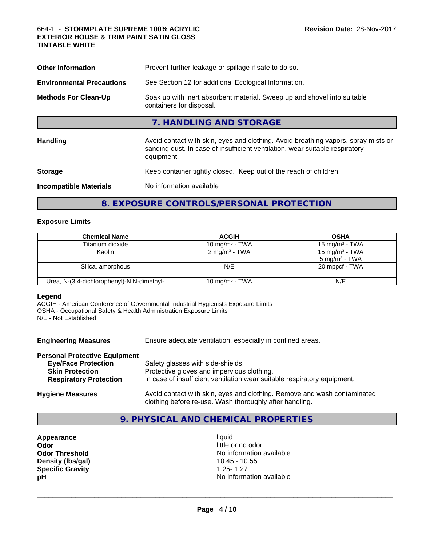| <b>Other Information</b>         | Prevent further leakage or spillage if safe to do so.                                                                                                                            |  |  |
|----------------------------------|----------------------------------------------------------------------------------------------------------------------------------------------------------------------------------|--|--|
| <b>Environmental Precautions</b> | See Section 12 for additional Ecological Information.                                                                                                                            |  |  |
| <b>Methods For Clean-Up</b>      | Soak up with inert absorbent material. Sweep up and shovel into suitable<br>containers for disposal.                                                                             |  |  |
|                                  | 7. HANDLING AND STORAGE                                                                                                                                                          |  |  |
| <b>Handling</b>                  | Avoid contact with skin, eyes and clothing. Avoid breathing vapors, spray mists or<br>sanding dust. In case of insufficient ventilation, wear suitable respiratory<br>equipment. |  |  |
| <b>Storage</b>                   | Keep container tightly closed. Keep out of the reach of children.                                                                                                                |  |  |
| <b>Incompatible Materials</b>    | No information available                                                                                                                                                         |  |  |
|                                  |                                                                                                                                                                                  |  |  |

 $\_$  ,  $\_$  ,  $\_$  ,  $\_$  ,  $\_$  ,  $\_$  ,  $\_$  ,  $\_$  ,  $\_$  ,  $\_$  ,  $\_$  ,  $\_$  ,  $\_$  ,  $\_$  ,  $\_$  ,  $\_$  ,  $\_$  ,  $\_$  ,  $\_$  ,  $\_$  ,  $\_$  ,  $\_$  ,  $\_$  ,  $\_$  ,  $\_$  ,  $\_$  ,  $\_$  ,  $\_$  ,  $\_$  ,  $\_$  ,  $\_$  ,  $\_$  ,  $\_$  ,  $\_$  ,  $\_$  ,  $\_$  ,  $\_$  ,

# **8. EXPOSURE CONTROLS/PERSONAL PROTECTION**

### **Exposure Limits**

| <b>Chemical Name</b>                       | <b>ACGIH</b>              | <b>OSHA</b>                                   |
|--------------------------------------------|---------------------------|-----------------------------------------------|
| Titanium dioxide                           | 10 mg/m $3$ - TWA         | $15 \text{ mg/m}^3$ - TWA                     |
| Kaolin                                     | 2 mg/m <sup>3</sup> - TWA | 15 mg/m $3$ - TWA<br>$5 \text{ mg/m}^3$ - TWA |
| Silica, amorphous                          | N/E                       | 20 mppcf - TWA                                |
| Urea, N-(3,4-dichlorophenyl)-N,N-dimethyl- | 10 mg/m $3$ - TWA         | N/E                                           |

#### **Legend**

ACGIH - American Conference of Governmental Industrial Hygienists Exposure Limits OSHA - Occupational Safety & Health Administration Exposure Limits N/E - Not Established

| <b>Engineering Measures</b>          | Ensure adequate ventilation, especially in confined areas.                                                                          |  |
|--------------------------------------|-------------------------------------------------------------------------------------------------------------------------------------|--|
| <b>Personal Protective Equipment</b> |                                                                                                                                     |  |
| <b>Eye/Face Protection</b>           | Safety glasses with side-shields.                                                                                                   |  |
| <b>Skin Protection</b>               | Protective gloves and impervious clothing.                                                                                          |  |
| <b>Respiratory Protection</b>        | In case of insufficient ventilation wear suitable respiratory equipment.                                                            |  |
| <b>Hygiene Measures</b>              | Avoid contact with skin, eyes and clothing. Remove and wash contaminated<br>clothing before re-use. Wash thoroughly after handling. |  |

# **9. PHYSICAL AND CHEMICAL PROPERTIES**

- **Appearance** liquid **Odor**<br> **Odor Threshold**<br> **Odor Threshold**<br> **Odor Show Threshold**<br> **Odor Show Threshold**<br> **Odor Show Threshold Density (lbs/gal) Specific Gravity**<br> **Specific Gravity**<br> **Specific Gravity**<br> **PH**<br>
No informal
	- No information available<br>10.45 10.55 **No information available**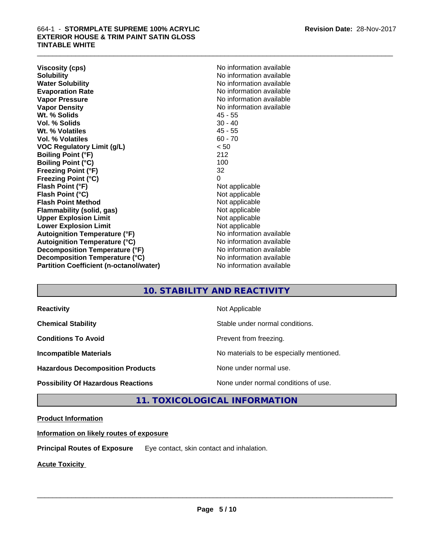**Viscosity (cps)** No information available **Solubility** No information available **Water Solubility**<br> **Evaporation Rate**<br> **Evaporation Rate**<br> **Evaporation Rate Vapor Pressure** No information available **Vapor Density No information available** No information available **Wt. % Solids** 45 - 55 **Vol. % Solids Wt. % Volatiles** 45 - 55 **Vol. % Volatiles** 60 - 70 **VOC Regulatory Limit (g/L)** < 50 **Boiling Point (°F)** 212 **Boiling Point (°C) Freezing Point (°F)** 32 **Freezing Point (°C)** 0 **Flash Point (°F)** Not applicable **Flash Point (°C)** Not applicable **Flash Point Method**<br> **Flammability (solid, gas)**<br>
Not applicable<br>
Not applicable **Flammability** (solid, gas) **Upper Explosion Limit** Not applicable **Lower Explosion Limit** Not applicable **Autoignition Temperature (°F)** No information available **Autoignition Temperature (°C)** No information available **Decomposition Temperature (°F)** No information available **Decomposition Temperature (°C)** No information available **Partition Coefficient (n-octanol/water)** No information available

**Evaporation Rate** No information available

# **10. STABILITY AND REACTIVITY**

| <b>Reactivity</b>                         | Not Applicable                           |
|-------------------------------------------|------------------------------------------|
| <b>Chemical Stability</b>                 | Stable under normal conditions.          |
| <b>Conditions To Avoid</b>                | Prevent from freezing.                   |
| <b>Incompatible Materials</b>             | No materials to be especially mentioned. |
| <b>Hazardous Decomposition Products</b>   | None under normal use.                   |
| <b>Possibility Of Hazardous Reactions</b> | None under normal conditions of use.     |

# **11. TOXICOLOGICAL INFORMATION**

# **Product Information**

**Information on likely routes of exposure**

**Principal Routes of Exposure** Eye contact, skin contact and inhalation.

**Acute Toxicity**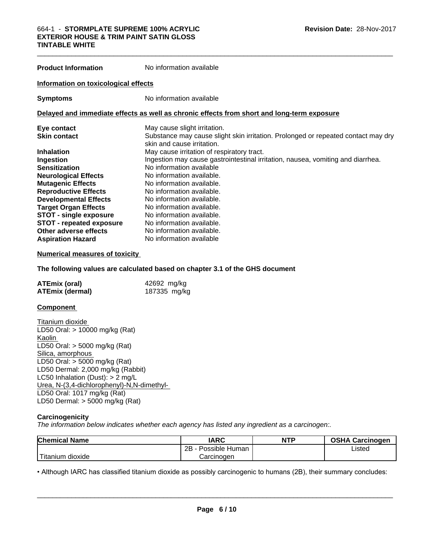| <b>Product Information</b>           | No information available                                                                                        |  |  |
|--------------------------------------|-----------------------------------------------------------------------------------------------------------------|--|--|
| Information on toxicological effects |                                                                                                                 |  |  |
| <b>Symptoms</b>                      | No information available                                                                                        |  |  |
|                                      | Delayed and immediate effects as well as chronic effects from short and long-term exposure                      |  |  |
| Eye contact                          | May cause slight irritation.                                                                                    |  |  |
| <b>Skin contact</b>                  | Substance may cause slight skin irritation. Prolonged or repeated contact may dry<br>skin and cause irritation. |  |  |
| <b>Inhalation</b>                    | May cause irritation of respiratory tract.                                                                      |  |  |
| Ingestion                            | Ingestion may cause gastrointestinal irritation, nausea, vomiting and diarrhea.                                 |  |  |
| <b>Sensitization</b>                 | No information available                                                                                        |  |  |
| <b>Neurological Effects</b>          | No information available.                                                                                       |  |  |
| <b>Mutagenic Effects</b>             | No information available.                                                                                       |  |  |
| <b>Reproductive Effects</b>          | No information available.                                                                                       |  |  |
| <b>Developmental Effects</b>         | No information available.                                                                                       |  |  |
| <b>Target Organ Effects</b>          | No information available.                                                                                       |  |  |
| <b>STOT - single exposure</b>        | No information available.                                                                                       |  |  |
| <b>STOT - repeated exposure</b>      | No information available.                                                                                       |  |  |
| Other adverse effects                | No information available.                                                                                       |  |  |

#### **Numerical measures of toxicity**

#### **The following values are calculated based on chapter 3.1 of the GHS document**

| <b>ATEmix (oral)</b>   | 42692 mg/kg  |
|------------------------|--------------|
| <b>ATEmix (dermal)</b> | 187335 mg/kg |

**Aspiration Hazard** No information available

#### **Component**

Titanium dioxide LD50 Oral: > 10000 mg/kg (Rat) Kaolin LD50 Oral: > 5000 mg/kg (Rat) Silica, amorphous LD50 Oral: > 5000 mg/kg (Rat) LD50 Dermal: 2,000 mg/kg (Rabbit) LC50 Inhalation (Dust): > 2 mg/L Urea, N-(3,4-dichlorophenyl)-N,N-dimethyl-LD50 Oral: 1017 mg/kg (Rat) LD50 Dermal: > 5000 mg/kg (Rat)

#### **Carcinogenicity**

*The information below indicateswhether each agency has listed any ingredient as a carcinogen:.*

| <b>Chemical Name</b>       | <b>IARC</b>          | <b>NTP</b> | <b>OSHA Carcinogen</b> |
|----------------------------|----------------------|------------|------------------------|
|                            | 2B<br>Possible Human |            | Listed                 |
| <b>Titanium</b><br>dioxide | Carcinogen           |            |                        |

• Although IARC has classified titanium dioxide as possibly carcinogenic to humans (2B), their summary concludes:<br>**Page 6/10**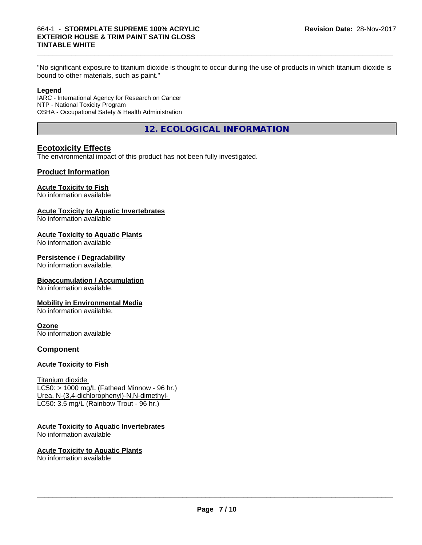"No significant exposure to titanium dioxide is thought to occur during the use of products in which titanium dioxide is bound to other materials, such as paint."

#### **Legend**

IARC - International Agency for Research on Cancer NTP - National Toxicity Program OSHA - Occupational Safety & Health Administration

**12. ECOLOGICAL INFORMATION**

# **Ecotoxicity Effects**

The environmental impact of this product has not been fully investigated.

# **Product Information**

#### **Acute Toxicity to Fish**

No information available

#### **Acute Toxicity to Aquatic Invertebrates**

No information available

#### **Acute Toxicity to Aquatic Plants**

No information available

#### **Persistence / Degradability**

No information available.

#### **Bioaccumulation / Accumulation**

No information available.

#### **Mobility in Environmental Media**

No information available.

# **Ozone**

No information available

# **Component**

#### **Acute Toxicity to Fish**

Titanium dioxide  $LC50: > 1000$  mg/L (Fathead Minnow - 96 hr.) Urea, N-(3,4-dichlorophenyl)-N,N-dimethyl- LC50: 3.5 mg/L (Rainbow Trout - 96 hr.)

# **Acute Toxicity to Aquatic Invertebrates**

No information available

#### **Acute Toxicity to Aquatic Plants** No information available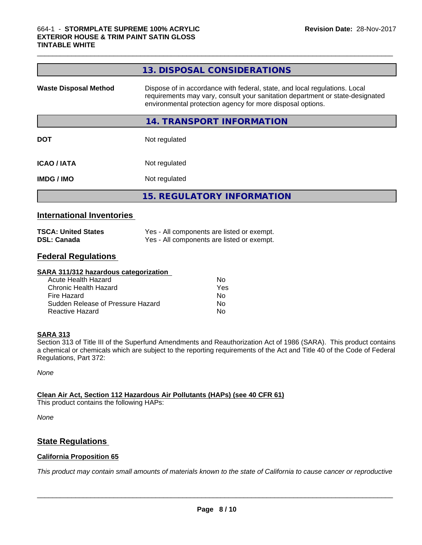|                              | 13. DISPOSAL CONSIDERATIONS                                                                                                                                                                                               |
|------------------------------|---------------------------------------------------------------------------------------------------------------------------------------------------------------------------------------------------------------------------|
| <b>Waste Disposal Method</b> | Dispose of in accordance with federal, state, and local regulations. Local<br>requirements may vary, consult your sanitation department or state-designated<br>environmental protection agency for more disposal options. |
|                              | 14. TRANSPORT INFORMATION                                                                                                                                                                                                 |
| <b>DOT</b>                   | Not regulated                                                                                                                                                                                                             |
| <b>ICAO/IATA</b>             | Not regulated                                                                                                                                                                                                             |
| <b>IMDG / IMO</b>            | Not regulated                                                                                                                                                                                                             |
|                              | <b>15. REGULATORY INFORMATION</b>                                                                                                                                                                                         |

 $\_$  ,  $\_$  ,  $\_$  ,  $\_$  ,  $\_$  ,  $\_$  ,  $\_$  ,  $\_$  ,  $\_$  ,  $\_$  ,  $\_$  ,  $\_$  ,  $\_$  ,  $\_$  ,  $\_$  ,  $\_$  ,  $\_$  ,  $\_$  ,  $\_$  ,  $\_$  ,  $\_$  ,  $\_$  ,  $\_$  ,  $\_$  ,  $\_$  ,  $\_$  ,  $\_$  ,  $\_$  ,  $\_$  ,  $\_$  ,  $\_$  ,  $\_$  ,  $\_$  ,  $\_$  ,  $\_$  ,  $\_$  ,  $\_$  ,

# **International Inventories**

| <b>TSCA: United States</b> | Yes - All components are listed or exempt. |
|----------------------------|--------------------------------------------|
| <b>DSL: Canada</b>         | Yes - All components are listed or exempt. |

# **Federal Regulations**

| SARA 311/312 hazardous categorization |     |  |
|---------------------------------------|-----|--|
| Acute Health Hazard                   | Nο  |  |
| Chronic Health Hazard                 | Yes |  |
| Fire Hazard                           | Nο  |  |
| Sudden Release of Pressure Hazard     | Nο  |  |
| Reactive Hazard                       | No  |  |

# **SARA 313**

Section 313 of Title III of the Superfund Amendments and Reauthorization Act of 1986 (SARA). This product contains a chemical or chemicals which are subject to the reporting requirements of the Act and Title 40 of the Code of Federal Regulations, Part 372:

*None*

**Clean Air Act,Section 112 Hazardous Air Pollutants (HAPs) (see 40 CFR 61)**

This product contains the following HAPs:

*None*

# **State Regulations**

# **California Proposition 65**

This product may contain small amounts of materials known to the state of California to cause cancer or reproductive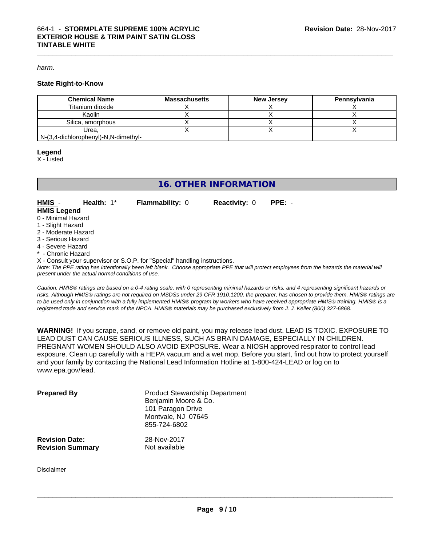#### *harm.*

#### **State Right-to-Know**

| <b>Chemical Name</b>                 | Massachusetts | <b>New Jersey</b> | Pennsylvania |
|--------------------------------------|---------------|-------------------|--------------|
| Titanium dioxide                     |               |                   |              |
| Kaolin                               |               |                   |              |
| Silica, amorphous                    |               |                   |              |
| Urea.                                |               |                   |              |
| N-(3,4-dichlorophenyl)-N,N-dimethyl- |               |                   |              |

#### **Legend**

X - Listed

# **16. OTHER INFORMATION**

**HMIS** - **Health:** 1\* **Flammability:** 0 **Reactivity:** 0 **PPE:** - **HMIS Legend**

- 0 Minimal Hazard
- 1 Slight Hazard
- 2 Moderate Hazard
- 3 Serious Hazard
- 4 Severe Hazard
- Chronic Hazard
- X Consult your supervisor or S.O.P. for "Special" handling instructions.

*Note: The PPE rating has intentionally been left blank. Choose appropriate PPE that will protect employees from the hazards the material will present under the actual normal conditions of use.*

*Caution: HMISÒ ratings are based on a 0-4 rating scale, with 0 representing minimal hazards or risks, and 4 representing significant hazards or risks. Although HMISÒ ratings are not required on MSDSs under 29 CFR 1910.1200, the preparer, has chosen to provide them. HMISÒ ratings are to be used only in conjunction with a fully implemented HMISÒ program by workers who have received appropriate HMISÒ training. HMISÒ is a registered trade and service mark of the NPCA. HMISÒ materials may be purchased exclusively from J. J. Keller (800) 327-6868.*

**WARNING!** If you scrape, sand, or remove old paint, you may release lead dust. LEAD IS TOXIC. EXPOSURE TO LEAD DUST CAN CAUSE SERIOUS ILLNESS, SUCH AS BRAIN DAMAGE, ESPECIALLY IN CHILDREN. PREGNANT WOMEN SHOULD ALSO AVOID EXPOSURE.Wear a NIOSH approved respirator to control lead exposure. Clean up carefully with a HEPA vacuum and a wet mop. Before you start, find out how to protect yourself and your family by contacting the National Lead Information Hotline at 1-800-424-LEAD or log on to www.epa.gov/lead.

| <b>Prepared By</b>                               | <b>Product Stewardship Department</b><br>Benjamin Moore & Co.<br>101 Paragon Drive<br>Montvale, NJ 07645<br>855-724-6802 |  |
|--------------------------------------------------|--------------------------------------------------------------------------------------------------------------------------|--|
| <b>Revision Date:</b><br><b>Revision Summary</b> | 28-Nov-2017<br>Not available                                                                                             |  |

Disclaimer